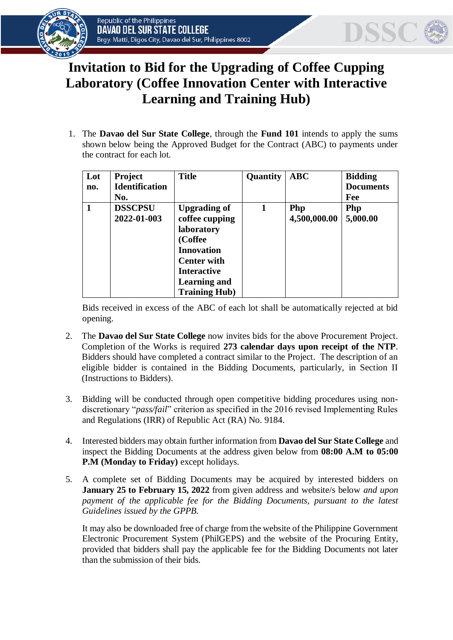



## **Invitation to Bid for the Upgrading of Coffee Cupping Laboratory (Coffee Innovation Center with Interactive Learning and Training Hub)**

1. The **Davao del Sur State College**, through the **Fund 101** intends to apply the sums shown below being the Approved Budget for the Contract (ABC) to payments under the contract for each lot*.*

| Lot | <b>Project</b>        | <b>Title</b>         | <b>Quantity</b> | <b>ABC</b>   | <b>Bidding</b>   |
|-----|-----------------------|----------------------|-----------------|--------------|------------------|
| no. | <b>Identification</b> |                      |                 |              | <b>Documents</b> |
|     | No.                   |                      |                 |              | Fee              |
|     | <b>DSSCPSU</b>        | <b>Upgrading of</b>  | 1               | Php          | Php              |
|     | 2022-01-003           | coffee cupping       |                 | 4,500,000.00 | 5,000.00         |
|     |                       | <b>laboratory</b>    |                 |              |                  |
|     |                       | (Coffee              |                 |              |                  |
|     |                       | <b>Innovation</b>    |                 |              |                  |
|     |                       | <b>Center with</b>   |                 |              |                  |
|     |                       | <b>Interactive</b>   |                 |              |                  |
|     |                       | <b>Learning and</b>  |                 |              |                  |
|     |                       | <b>Training Hub)</b> |                 |              |                  |

Bids received in excess of the ABC of each lot shall be automatically rejected at bid opening.

- 2. The **Davao del Sur State College** now invites bids for the above Procurement Project. Completion of the Works is required **273 calendar days upon receipt of the NTP**. Bidders should have completed a contract similar to the Project. The description of an eligible bidder is contained in the Bidding Documents, particularly, in Section II (Instructions to Bidders).
- 3. Bidding will be conducted through open competitive bidding procedures using nondiscretionary "*pass/fail*" criterion as specified in the 2016 revised Implementing Rules and Regulations (IRR) of Republic Act (RA) No. 9184.
- 4. Interested bidders may obtain further information from **Davao del Sur State College** and inspect the Bidding Documents at the address given below from **08:00 A.M to 05:00 P.M (Monday to Friday)** except holidays.
- 5. A complete set of Bidding Documents may be acquired by interested bidders on **January 25 to February 15, 2022** from given address and website/s below *and upon*  payment of the applicable fee for the Bidding Documents, pursuant to the latest *Guidelines issued by the GPPB.*

It may also be downloaded free of charge from the website of the Philippine Government Electronic Procurement System (PhilGEPS) and the website of the Procuring Entity*,* provided that bidders shall pay the applicable fee for the Bidding Documents not later than the submission of their bids.